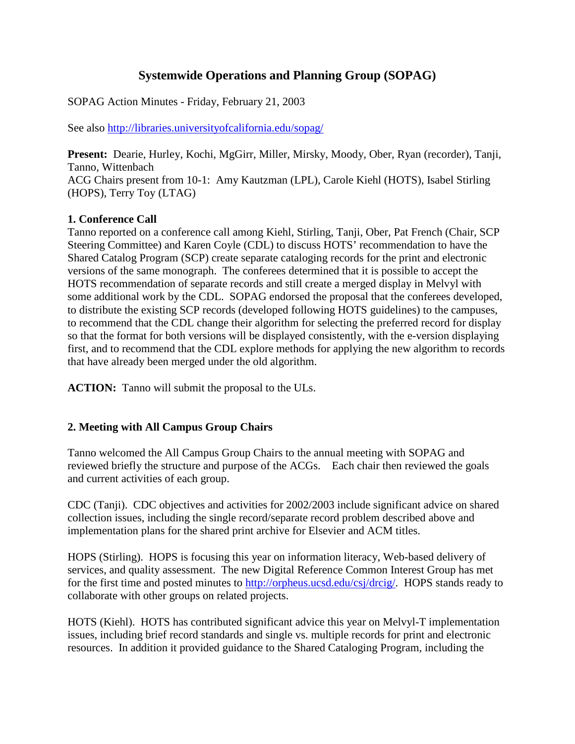# **Systemwide Operations and Planning Group (SOPAG)**

SOPAG Action Minutes - Friday, February 21, 2003

See also http://libraries.universityofcalifornia.edu/sopag/

**Present:** Dearie, Hurley, Kochi, MgGirr, Miller, Mirsky, Moody, Ober, Ryan (recorder), Tanji, Tanno, Wittenbach ACG Chairs present from 10-1: Amy Kautzman (LPL), Carole Kiehl (HOTS), Isabel Stirling (HOPS), Terry Toy (LTAG)

## **1. Conference Call**

Tanno reported on a conference call among Kiehl, Stirling, Tanji, Ober, Pat French (Chair, SCP Steering Committee) and Karen Coyle (CDL) to discuss HOTS' recommendation to have the Shared Catalog Program (SCP) create separate cataloging records for the print and electronic versions of the same monograph. The conferees determined that it is possible to accept the HOTS recommendation of separate records and still create a merged display in Melvyl with some additional work by the CDL. SOPAG endorsed the proposal that the conferees developed, to distribute the existing SCP records (developed following HOTS guidelines) to the campuses, to recommend that the CDL change their algorithm for selecting the preferred record for display so that the format for both versions will be displayed consistently, with the e-version displaying first, and to recommend that the CDL explore methods for applying the new algorithm to records that have already been merged under the old algorithm.

**ACTION:** Tanno will submit the proposal to the ULs.

### **2. Meeting with All Campus Group Chairs**

Tanno welcomed the All Campus Group Chairs to the annual meeting with SOPAG and reviewed briefly the structure and purpose of the ACGs. Each chair then reviewed the goals and current activities of each group.

CDC (Tanji). CDC objectives and activities for 2002/2003 include significant advice on shared collection issues, including the single record/separate record problem described above and implementation plans for the shared print archive for Elsevier and ACM titles.

HOPS (Stirling). HOPS is focusing this year on information literacy, Web-based delivery of services, and quality assessment. The new Digital Reference Common Interest Group has met for the first time and posted minutes to [http://orpheus.ucsd.edu/csj/drcig/.](http://orpheus.ucsd.edu/csj/drcig/) HOPS stands ready to collaborate with other groups on related projects.

HOTS (Kiehl). HOTS has contributed significant advice this year on Melvyl-T implementation issues, including brief record standards and single vs. multiple records for print and electronic resources. In addition it provided guidance to the Shared Cataloging Program, including the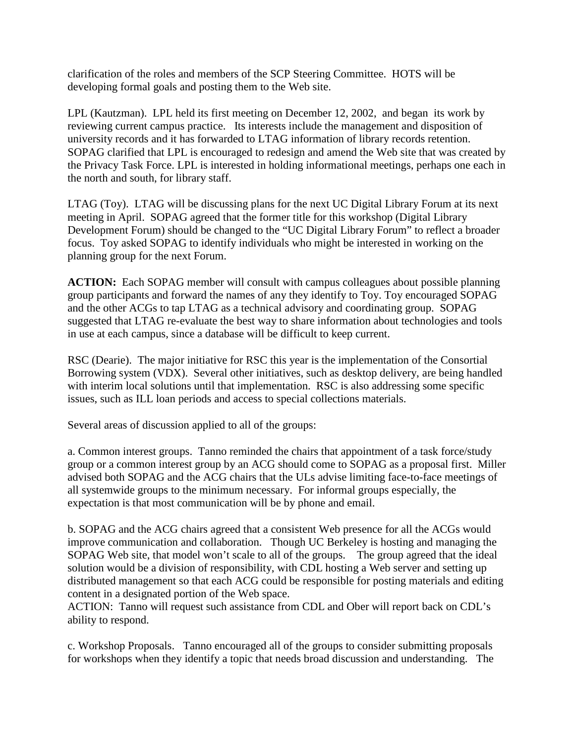clarification of the roles and members of the SCP Steering Committee. HOTS will be developing formal goals and posting them to the Web site.

LPL (Kautzman). LPL held its first meeting on December 12, 2002, and began its work by reviewing current campus practice. Its interests include the management and disposition of university records and it has forwarded to LTAG information of library records retention. SOPAG clarified that LPL is encouraged to redesign and amend the Web site that was created by the Privacy Task Force. LPL is interested in holding informational meetings, perhaps one each in the north and south, for library staff.

LTAG (Toy). LTAG will be discussing plans for the next UC Digital Library Forum at its next meeting in April. SOPAG agreed that the former title for this workshop (Digital Library Development Forum) should be changed to the "UC Digital Library Forum" to reflect a broader focus. Toy asked SOPAG to identify individuals who might be interested in working on the planning group for the next Forum.

**ACTION:** Each SOPAG member will consult with campus colleagues about possible planning group participants and forward the names of any they identify to Toy. Toy encouraged SOPAG and the other ACGs to tap LTAG as a technical advisory and coordinating group. SOPAG suggested that LTAG re-evaluate the best way to share information about technologies and tools in use at each campus, since a database will be difficult to keep current.

RSC (Dearie). The major initiative for RSC this year is the implementation of the Consortial Borrowing system (VDX). Several other initiatives, such as desktop delivery, are being handled with interim local solutions until that implementation. RSC is also addressing some specific issues, such as ILL loan periods and access to special collections materials.

Several areas of discussion applied to all of the groups:

a. Common interest groups. Tanno reminded the chairs that appointment of a task force/study group or a common interest group by an ACG should come to SOPAG as a proposal first. Miller advised both SOPAG and the ACG chairs that the ULs advise limiting face-to-face meetings of all systemwide groups to the minimum necessary. For informal groups especially, the expectation is that most communication will be by phone and email.

b. SOPAG and the ACG chairs agreed that a consistent Web presence for all the ACGs would improve communication and collaboration. Though UC Berkeley is hosting and managing the SOPAG Web site, that model won't scale to all of the groups. The group agreed that the ideal solution would be a division of responsibility, with CDL hosting a Web server and setting up distributed management so that each ACG could be responsible for posting materials and editing content in a designated portion of the Web space.

ACTION: Tanno will request such assistance from CDL and Ober will report back on CDL's ability to respond.

c. Workshop Proposals. Tanno encouraged all of the groups to consider submitting proposals for workshops when they identify a topic that needs broad discussion and understanding. The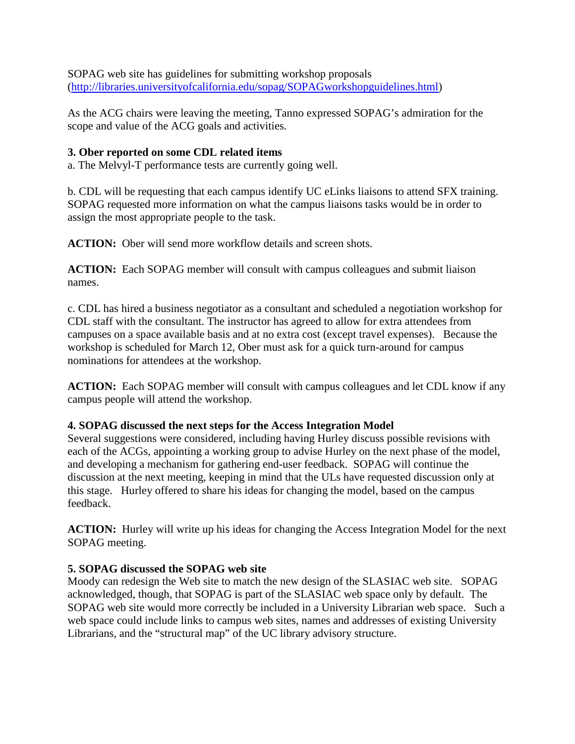SOPAG web site has guidelines for submitting workshop proposals [\(http://libraries.universityofcalifornia.edu/sopag/SOPAGworkshopguidelines.html\)](http://libraries.universityofcalifornia.edu/sopag/SOPAGworkshopguidelines.html)

As the ACG chairs were leaving the meeting, Tanno expressed SOPAG's admiration for the scope and value of the ACG goals and activities.

#### **3. Ober reported on some CDL related items**

a. The Melvyl-T performance tests are currently going well.

b. CDL will be requesting that each campus identify UC eLinks liaisons to attend SFX training. SOPAG requested more information on what the campus liaisons tasks would be in order to assign the most appropriate people to the task.

**ACTION:** Ober will send more workflow details and screen shots.

**ACTION:** Each SOPAG member will consult with campus colleagues and submit liaison names.

c. CDL has hired a business negotiator as a consultant and scheduled a negotiation workshop for CDL staff with the consultant. The instructor has agreed to allow for extra attendees from campuses on a space available basis and at no extra cost (except travel expenses). Because the workshop is scheduled for March 12, Ober must ask for a quick turn-around for campus nominations for attendees at the workshop.

**ACTION:** Each SOPAG member will consult with campus colleagues and let CDL know if any campus people will attend the workshop.

#### **4. SOPAG discussed the next steps for the Access Integration Model**

Several suggestions were considered, including having Hurley discuss possible revisions with each of the ACGs, appointing a working group to advise Hurley on the next phase of the model, and developing a mechanism for gathering end-user feedback. SOPAG will continue the discussion at the next meeting, keeping in mind that the ULs have requested discussion only at this stage. Hurley offered to share his ideas for changing the model, based on the campus feedback.

**ACTION:** Hurley will write up his ideas for changing the Access Integration Model for the next SOPAG meeting.

### **5. SOPAG discussed the SOPAG web site**

Moody can redesign the Web site to match the new design of the SLASIAC web site. SOPAG acknowledged, though, that SOPAG is part of the SLASIAC web space only by default. The SOPAG web site would more correctly be included in a University Librarian web space. Such a web space could include links to campus web sites, names and addresses of existing University Librarians, and the "structural map" of the UC library advisory structure.